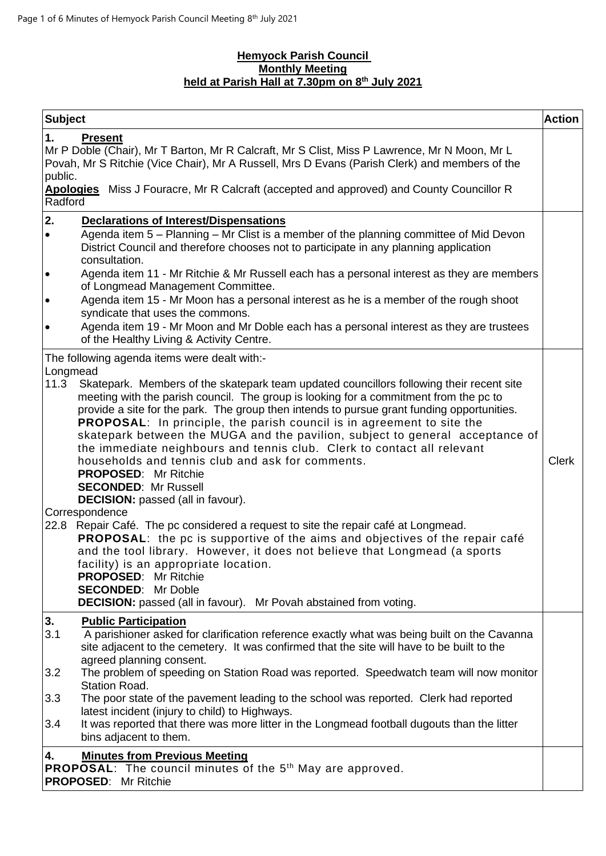## **Hemyock Parish Council Monthly Meeting held at Parish Hall at 7.30pm on 8 th July 2021**

|                                                                                                                                                                                                                                                                                                                                                                                                                                                            | <b>Action</b> |
|------------------------------------------------------------------------------------------------------------------------------------------------------------------------------------------------------------------------------------------------------------------------------------------------------------------------------------------------------------------------------------------------------------------------------------------------------------|---------------|
| <b>Subject</b>                                                                                                                                                                                                                                                                                                                                                                                                                                             |               |
| 1.<br><b>Present</b><br>Mr P Doble (Chair), Mr T Barton, Mr R Calcraft, Mr S Clist, Miss P Lawrence, Mr N Moon, Mr L<br>Povah, Mr S Ritchie (Vice Chair), Mr A Russell, Mrs D Evans (Parish Clerk) and members of the<br>public.<br>Apologies Miss J Fouracre, Mr R Calcraft (accepted and approved) and County Councillor R<br>Radford                                                                                                                    |               |
|                                                                                                                                                                                                                                                                                                                                                                                                                                                            |               |
| 2.<br>Declarations of Interest/Dispensations<br>Agenda item 5 – Planning – Mr Clist is a member of the planning committee of Mid Devon<br>$\bullet$<br>District Council and therefore chooses not to participate in any planning application<br>consultation.                                                                                                                                                                                              |               |
| Agenda item 11 - Mr Ritchie & Mr Russell each has a personal interest as they are members<br>$\bullet$<br>of Longmead Management Committee.                                                                                                                                                                                                                                                                                                                |               |
| Agenda item 15 - Mr Moon has a personal interest as he is a member of the rough shoot<br>$\bullet$<br>syndicate that uses the commons.                                                                                                                                                                                                                                                                                                                     |               |
| Agenda item 19 - Mr Moon and Mr Doble each has a personal interest as they are trustees<br>$\bullet$<br>of the Healthy Living & Activity Centre.                                                                                                                                                                                                                                                                                                           |               |
| The following agenda items were dealt with:-                                                                                                                                                                                                                                                                                                                                                                                                               |               |
| Longmead<br>Skatepark. Members of the skatepark team updated councillors following their recent site<br>11.3<br>meeting with the parish council. The group is looking for a commitment from the pc to<br>provide a site for the park. The group then intends to pursue grant funding opportunities.                                                                                                                                                        |               |
| <b>PROPOSAL:</b> In principle, the parish council is in agreement to site the<br>skatepark between the MUGA and the pavilion, subject to general acceptance of<br>the immediate neighbours and tennis club. Clerk to contact all relevant<br>households and tennis club and ask for comments.<br><b>PROPOSED:</b> Mr Ritchie<br><b>SECONDED: Mr Russell</b><br><b>DECISION:</b> passed (all in favour).                                                    | <b>Clerk</b>  |
| Correspondence<br>22.8 Repair Café. The pc considered a request to site the repair café at Longmead.<br><b>PROPOSAL:</b> the pc is supportive of the aims and objectives of the repair café<br>and the tool library. However, it does not believe that Longmead (a sports<br>facility) is an appropriate location.<br><b>PROPOSED: Mr Ritchie</b><br><b>SECONDED:</b> Mr Doble<br><b>DECISION:</b> passed (all in favour). Mr Povah abstained from voting. |               |
| 3.<br><b>Public Participation</b><br>3.1<br>A parishioner asked for clarification reference exactly what was being built on the Cavanna<br>site adjacent to the cemetery. It was confirmed that the site will have to be built to the                                                                                                                                                                                                                      |               |
| agreed planning consent.<br>The problem of speeding on Station Road was reported. Speedwatch team will now monitor<br>3.2<br><b>Station Road.</b>                                                                                                                                                                                                                                                                                                          |               |
| 3.3<br>The poor state of the pavement leading to the school was reported. Clerk had reported                                                                                                                                                                                                                                                                                                                                                               |               |
| latest incident (injury to child) to Highways.<br>It was reported that there was more litter in the Longmead football dugouts than the litter<br>3.4<br>bins adjacent to them.                                                                                                                                                                                                                                                                             |               |
| <b>Minutes from Previous Meeting</b><br>4.<br><b>PROPOSAL:</b> The council minutes of the 5 <sup>th</sup> May are approved.<br><b>PROPOSED: Mr Ritchie</b>                                                                                                                                                                                                                                                                                                 |               |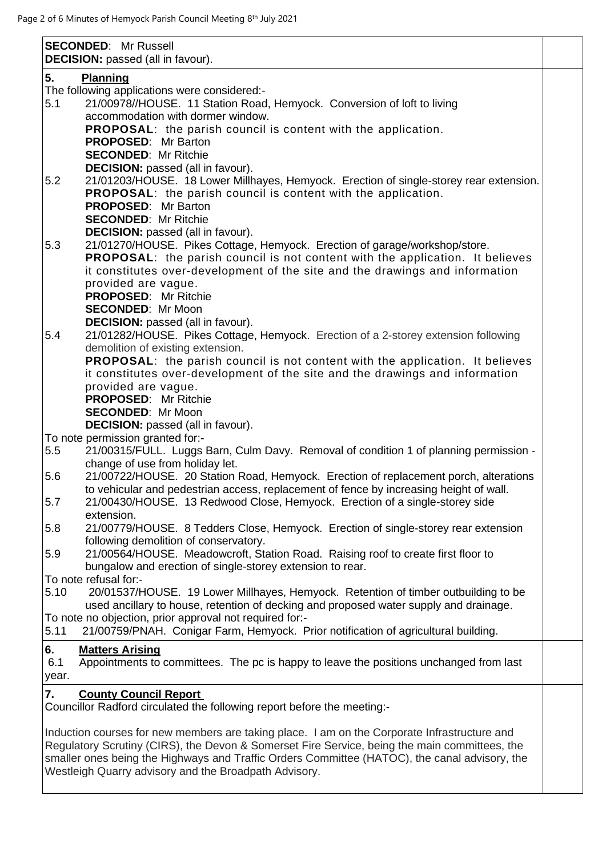| 5.<br><b>Planning</b><br>The following applications were considered:-<br>5.1<br>21/00978//HOUSE. 11 Station Road, Hemyock. Conversion of loft to living<br>accommodation with dormer window.<br><b>PROPOSAL:</b> the parish council is content with the application.<br><b>PROPOSED:</b> Mr Barton<br><b>SECONDED: Mr Ritchie</b><br><b>DECISION:</b> passed (all in favour).<br>5.2<br>21/01203/HOUSE. 18 Lower Millhayes, Hemyock. Erection of single-storey rear extension.<br><b>PROPOSAL:</b> the parish council is content with the application.<br><b>PROPOSED:</b> Mr Barton |
|--------------------------------------------------------------------------------------------------------------------------------------------------------------------------------------------------------------------------------------------------------------------------------------------------------------------------------------------------------------------------------------------------------------------------------------------------------------------------------------------------------------------------------------------------------------------------------------|
|                                                                                                                                                                                                                                                                                                                                                                                                                                                                                                                                                                                      |
|                                                                                                                                                                                                                                                                                                                                                                                                                                                                                                                                                                                      |
|                                                                                                                                                                                                                                                                                                                                                                                                                                                                                                                                                                                      |
|                                                                                                                                                                                                                                                                                                                                                                                                                                                                                                                                                                                      |
|                                                                                                                                                                                                                                                                                                                                                                                                                                                                                                                                                                                      |
|                                                                                                                                                                                                                                                                                                                                                                                                                                                                                                                                                                                      |
|                                                                                                                                                                                                                                                                                                                                                                                                                                                                                                                                                                                      |
|                                                                                                                                                                                                                                                                                                                                                                                                                                                                                                                                                                                      |
|                                                                                                                                                                                                                                                                                                                                                                                                                                                                                                                                                                                      |
|                                                                                                                                                                                                                                                                                                                                                                                                                                                                                                                                                                                      |
|                                                                                                                                                                                                                                                                                                                                                                                                                                                                                                                                                                                      |
| <b>SECONDED: Mr Ritchie</b>                                                                                                                                                                                                                                                                                                                                                                                                                                                                                                                                                          |
| <b>DECISION:</b> passed (all in favour).                                                                                                                                                                                                                                                                                                                                                                                                                                                                                                                                             |
| 21/01270/HOUSE. Pikes Cottage, Hemyock. Erection of garage/workshop/store.<br>5.3                                                                                                                                                                                                                                                                                                                                                                                                                                                                                                    |
| <b>PROPOSAL:</b> the parish council is not content with the application. It believes                                                                                                                                                                                                                                                                                                                                                                                                                                                                                                 |
| it constitutes over-development of the site and the drawings and information                                                                                                                                                                                                                                                                                                                                                                                                                                                                                                         |
| provided are vague.                                                                                                                                                                                                                                                                                                                                                                                                                                                                                                                                                                  |
| <b>PROPOSED: Mr Ritchie</b>                                                                                                                                                                                                                                                                                                                                                                                                                                                                                                                                                          |
| <b>SECONDED: Mr Moon</b>                                                                                                                                                                                                                                                                                                                                                                                                                                                                                                                                                             |
| <b>DECISION:</b> passed (all in favour).                                                                                                                                                                                                                                                                                                                                                                                                                                                                                                                                             |
| 5.4<br>21/01282/HOUSE. Pikes Cottage, Hemyock. Erection of a 2-storey extension following                                                                                                                                                                                                                                                                                                                                                                                                                                                                                            |
| demolition of existing extension.                                                                                                                                                                                                                                                                                                                                                                                                                                                                                                                                                    |
| <b>PROPOSAL:</b> the parish council is not content with the application. It believes                                                                                                                                                                                                                                                                                                                                                                                                                                                                                                 |
| it constitutes over-development of the site and the drawings and information                                                                                                                                                                                                                                                                                                                                                                                                                                                                                                         |
| provided are vague.                                                                                                                                                                                                                                                                                                                                                                                                                                                                                                                                                                  |
| <b>PROPOSED:</b> Mr Ritchie<br><b>SECONDED: Mr Moon</b>                                                                                                                                                                                                                                                                                                                                                                                                                                                                                                                              |
| <b>DECISION:</b> passed (all in favour).                                                                                                                                                                                                                                                                                                                                                                                                                                                                                                                                             |
| To note permission granted for:-                                                                                                                                                                                                                                                                                                                                                                                                                                                                                                                                                     |
| 21/00315/FULL. Luggs Barn, Culm Davy. Removal of condition 1 of planning permission -<br>5.5                                                                                                                                                                                                                                                                                                                                                                                                                                                                                         |
| change of use from holiday let.                                                                                                                                                                                                                                                                                                                                                                                                                                                                                                                                                      |
| 21/00722/HOUSE. 20 Station Road, Hemyock. Erection of replacement porch, alterations<br>5.6                                                                                                                                                                                                                                                                                                                                                                                                                                                                                          |
| to vehicular and pedestrian access, replacement of fence by increasing height of wall.                                                                                                                                                                                                                                                                                                                                                                                                                                                                                               |
| 21/00430/HOUSE. 13 Redwood Close, Hemyock. Erection of a single-storey side<br>5.7                                                                                                                                                                                                                                                                                                                                                                                                                                                                                                   |
| extension.                                                                                                                                                                                                                                                                                                                                                                                                                                                                                                                                                                           |
| 21/00779/HOUSE. 8 Tedders Close, Hemyock. Erection of single-storey rear extension<br>5.8                                                                                                                                                                                                                                                                                                                                                                                                                                                                                            |
| following demolition of conservatory.                                                                                                                                                                                                                                                                                                                                                                                                                                                                                                                                                |
| 5.9<br>21/00564/HOUSE. Meadowcroft, Station Road. Raising roof to create first floor to                                                                                                                                                                                                                                                                                                                                                                                                                                                                                              |
| bungalow and erection of single-storey extension to rear.                                                                                                                                                                                                                                                                                                                                                                                                                                                                                                                            |
| To note refusal for:-                                                                                                                                                                                                                                                                                                                                                                                                                                                                                                                                                                |
| 20/01537/HOUSE. 19 Lower Millhayes, Hemyock. Retention of timber outbuilding to be<br>5.10                                                                                                                                                                                                                                                                                                                                                                                                                                                                                           |
| used ancillary to house, retention of decking and proposed water supply and drainage.                                                                                                                                                                                                                                                                                                                                                                                                                                                                                                |
| To note no objection, prior approval not required for:-                                                                                                                                                                                                                                                                                                                                                                                                                                                                                                                              |
| 5.11<br>21/00759/PNAH. Conigar Farm, Hemyock. Prior notification of agricultural building.                                                                                                                                                                                                                                                                                                                                                                                                                                                                                           |
| 6.<br><b>Matters Arising</b>                                                                                                                                                                                                                                                                                                                                                                                                                                                                                                                                                         |
| Appointments to committees. The pc is happy to leave the positions unchanged from last<br>6.1                                                                                                                                                                                                                                                                                                                                                                                                                                                                                        |
| year.                                                                                                                                                                                                                                                                                                                                                                                                                                                                                                                                                                                |
| 7.<br><b>County Council Report</b>                                                                                                                                                                                                                                                                                                                                                                                                                                                                                                                                                   |
| Councillor Radford circulated the following report before the meeting:-                                                                                                                                                                                                                                                                                                                                                                                                                                                                                                              |
|                                                                                                                                                                                                                                                                                                                                                                                                                                                                                                                                                                                      |
| Induction courses for new members are taking place. I am on the Corporate Infrastructure and                                                                                                                                                                                                                                                                                                                                                                                                                                                                                         |
| Regulatory Scrutiny (CIRS), the Devon & Somerset Fire Service, being the main committees, the                                                                                                                                                                                                                                                                                                                                                                                                                                                                                        |
|                                                                                                                                                                                                                                                                                                                                                                                                                                                                                                                                                                                      |
|                                                                                                                                                                                                                                                                                                                                                                                                                                                                                                                                                                                      |
| smaller ones being the Highways and Traffic Orders Committee (HATOC), the canal advisory, the<br>Westleigh Quarry advisory and the Broadpath Advisory.                                                                                                                                                                                                                                                                                                                                                                                                                               |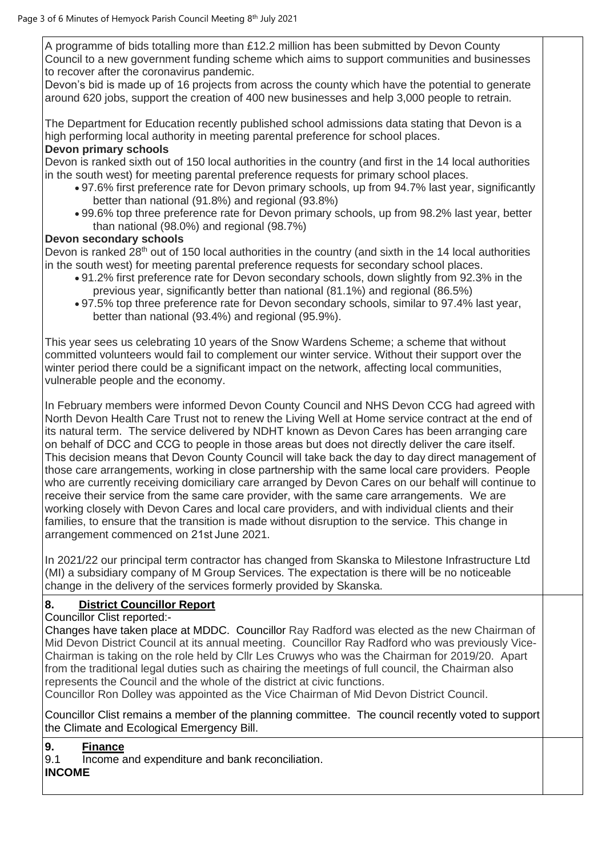A programme of bids totalling more than £12.2 million has been submitted by Devon County Council to a new government funding scheme which aims to support communities and businesses to recover after the coronavirus pandemic.

Devon's bid is made up of 16 projects from across the county which have the potential to generate around 620 jobs, support the creation of 400 new businesses and help 3,000 people to retrain.

The Department for Education recently published school admissions data stating that Devon is a high performing local authority in meeting parental preference for school places.

### **Devon primary schools**

Devon is ranked sixth out of 150 local authorities in the country (and first in the 14 local authorities in the south west) for meeting parental preference requests for primary school places.

- 97.6% first preference rate for Devon primary schools, up from 94.7% last year, significantly better than national (91.8%) and regional (93.8%)
- 99.6% top three preference rate for Devon primary schools, up from 98.2% last year, better than national (98.0%) and regional (98.7%)

#### **Devon secondary schools**

Devon is ranked  $28<sup>th</sup>$  out of 150 local authorities in the country (and sixth in the 14 local authorities in the south west) for meeting parental preference requests for secondary school places.

- 91.2% first preference rate for Devon secondary schools, down slightly from 92.3% in the previous year, significantly better than national (81.1%) and regional (86.5%)
- 97.5% top three preference rate for Devon secondary schools, similar to 97.4% last year, better than national (93.4%) and regional (95.9%).

This year sees us celebrating 10 years of the Snow Wardens Scheme; a scheme that without committed volunteers would fail to complement our winter service. Without their support over the winter period there could be a significant impact on the network, affecting local communities, vulnerable people and the economy.

In February members were informed Devon County Council and NHS Devon CCG had agreed with North Devon Health Care Trust not to renew the Living Well at Home service contract at the end of its natural term. The service delivered by NDHT known as Devon Cares has been arranging care on behalf of DCC and CCG to people in those areas but does not directly deliver the care itself.   This decision means that Devon County Council will take back the day to day direct management of those care arrangements, working in close partnership with the same local care providers.  People who are currently receiving domiciliary care arranged by Devon Cares on our behalf will continue to receive their service from the same care provider, with the same care arrangements.   We are working closely with Devon Cares and local care providers, and with individual clients and their families, to ensure that the transition is made without disruption to the service.  This change in arrangement commenced on 21st June 2021.

In 2021/22 our principal term contractor has changed from Skanska to Milestone Infrastructure Ltd (MI) a subsidiary company of M Group Services. The expectation is there will be no noticeable change in the delivery of the services formerly provided by Skanska.

# **8. District Councillor Report**

Councillor Clist reported:-

Changes have taken place at MDDC. Councillor Ray Radford was elected as the new Chairman of Mid Devon District Council at its annual meeting. Councillor Ray Radford who was previously Vice-Chairman is taking on the role held by Cllr Les Cruwys who was the Chairman for 2019/20. Apart from the traditional legal duties such as chairing the meetings of full council, the Chairman also represents the Council and the whole of the district at civic functions.

Councillor Ron Dolley was appointed as the Vice Chairman of Mid Devon District Council.

Councillor Clist remains a member of the planning committee. The council recently voted to support the Climate and Ecological Emergency Bill.

#### **9. Finance**

9.1 Income and expenditure and bank reconciliation.

## **INCOME**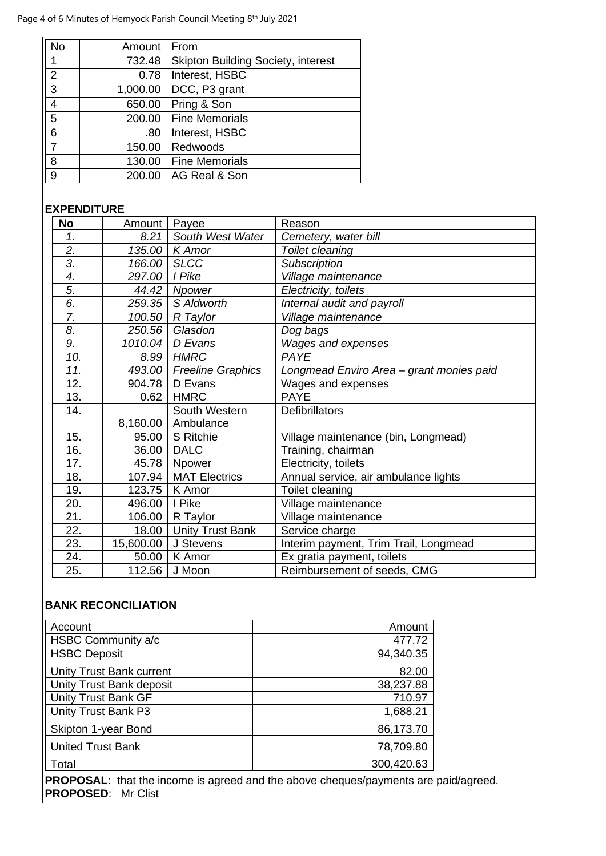| No | Amount   | From                                      |
|----|----------|-------------------------------------------|
| 1  | 732.48   | <b>Skipton Building Society, interest</b> |
| 2  | 0.78     | Interest, HSBC                            |
| 3  | 1,000.00 | DCC, P3 grant                             |
| 4  | 650.00   | Pring & Son                               |
| 5  | 200.00   | <b>Fine Memorials</b>                     |
| 6  | .80      | Interest, HSBC                            |
| 7  | 150.00   | Redwoods                                  |
| 8  | 130.00   | <b>Fine Memorials</b>                     |
| 9  | 200.00   | AG Real & Son                             |

# **EXPENDITURE**

| <b>No</b>        | Amount    | Payee                    | Reason                                   |
|------------------|-----------|--------------------------|------------------------------------------|
| 1.               | 8.21      | South West Water         | Cemetery, water bill                     |
| $\overline{2}$ . | 135.00    | K Amor                   | Toilet cleaning                          |
| $\overline{3}$ . | 166.00    | <b>SLCC</b>              | <b>Subscription</b>                      |
| 4.               | 297.00    | I Pike                   | Village maintenance                      |
| 5.               | 44.42     | Npower                   | Electricity, toilets                     |
| 6.               | 259.35    | S Aldworth               | Internal audit and payroll               |
| 7.               | 100.50    | R Taylor                 | Village maintenance                      |
| 8.               | 250.56    | Glasdon                  | Dog bags                                 |
| 9.               | 1010.04   | D Evans                  | Wages and expenses                       |
| 10.              | 8.99      | <b>HMRC</b>              | PAYE                                     |
| 11.              | 493.00    | <b>Freeline Graphics</b> | Longmead Enviro Area - grant monies paid |
| 12.              | 904.78    | D Evans                  | Wages and expenses                       |
| 13.              | 0.62      | <b>HMRC</b>              | <b>PAYE</b>                              |
| 14.              |           | South Western            | <b>Defibrillators</b>                    |
|                  | 8,160.00  | Ambulance                |                                          |
| 15.              | 95.00     | S Ritchie                | Village maintenance (bin, Longmead)      |
| 16.              | 36.00     | <b>DALC</b>              | Training, chairman                       |
| 17.              | 45.78     | Npower                   | Electricity, toilets                     |
| 18.              | 107.94    | <b>MAT Electrics</b>     | Annual service, air ambulance lights     |
| 19.              | 123.75    | K Amor                   | Toilet cleaning                          |
| 20.              | 496.00    | I Pike                   | Village maintenance                      |
| 21.              | 106.00    | R Taylor                 | Village maintenance                      |
| 22.              | 18.00     | <b>Unity Trust Bank</b>  | Service charge                           |
| 23.              | 15,600.00 | J Stevens                | Interim payment, Trim Trail, Longmead    |
| 24.              | 50.00     | K Amor                   | Ex gratia payment, toilets               |
| 25.              | 112.56    | J Moon                   | Reimbursement of seeds, CMG              |

## **BANK RECONCILIATION**

| Account                         | Amount     |
|---------------------------------|------------|
| HSBC Community a/c              | 477.72     |
| <b>HSBC Deposit</b>             | 94,340.35  |
| <b>Unity Trust Bank current</b> | 82.00      |
| Unity Trust Bank deposit        | 38,237.88  |
| <b>Unity Trust Bank GF</b>      | 710.97     |
| Unity Trust Bank P3             | 1,688.21   |
| Skipton 1-year Bond             | 86,173.70  |
| <b>United Trust Bank</b>        | 78,709.80  |
| Total                           | 300,420.63 |

**PROPOSAL**: that the income is agreed and the above cheques/payments are paid/agreed. **PROPOSED**: Mr Clist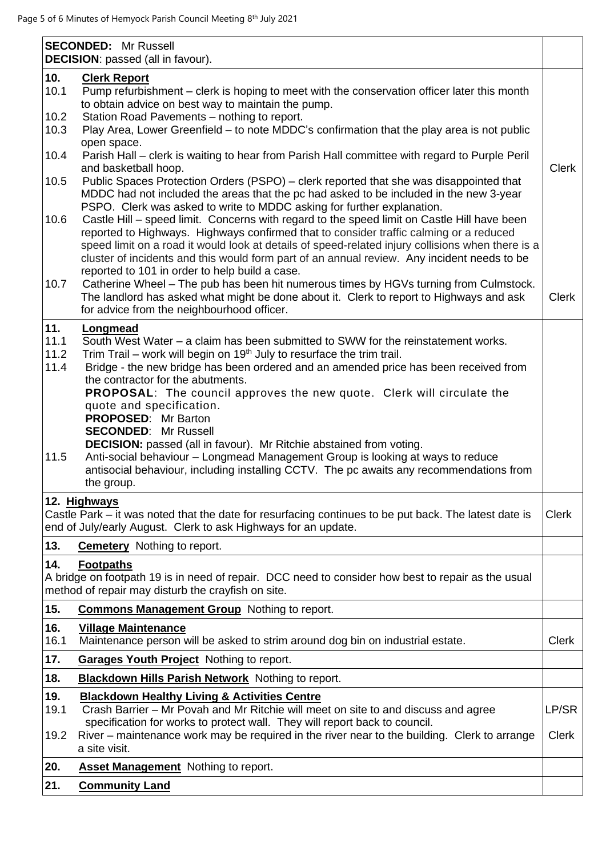|                             | <b>SECONDED:</b> Mr Russell<br><b>DECISION:</b> passed (all in favour).                                                                                                                                                                                                                                                                                                                                                                                                             |              |
|-----------------------------|-------------------------------------------------------------------------------------------------------------------------------------------------------------------------------------------------------------------------------------------------------------------------------------------------------------------------------------------------------------------------------------------------------------------------------------------------------------------------------------|--------------|
| 10.<br>10.1                 | <b>Clerk Report</b><br>Pump refurbishment - clerk is hoping to meet with the conservation officer later this month<br>to obtain advice on best way to maintain the pump.                                                                                                                                                                                                                                                                                                            |              |
| 10.2<br>10.3                | Station Road Pavements - nothing to report.<br>Play Area, Lower Greenfield – to note MDDC's confirmation that the play area is not public<br>open space.                                                                                                                                                                                                                                                                                                                            |              |
| 10.4                        | Parish Hall – clerk is waiting to hear from Parish Hall committee with regard to Purple Peril<br>and basketball hoop.                                                                                                                                                                                                                                                                                                                                                               | <b>Clerk</b> |
| 10.5                        | Public Spaces Protection Orders (PSPO) – clerk reported that she was disappointed that<br>MDDC had not included the areas that the pc had asked to be included in the new 3-year<br>PSPO. Clerk was asked to write to MDDC asking for further explanation.                                                                                                                                                                                                                          |              |
| 10.6                        | Castle Hill - speed limit. Concerns with regard to the speed limit on Castle Hill have been<br>reported to Highways. Highways confirmed that to consider traffic calming or a reduced<br>speed limit on a road it would look at details of speed-related injury collisions when there is a<br>cluster of incidents and this would form part of an annual review. Any incident needs to be<br>reported to 101 in order to help build a case.                                         |              |
| 10.7                        | Catherine Wheel - The pub has been hit numerous times by HGVs turning from Culmstock.<br>The landlord has asked what might be done about it. Clerk to report to Highways and ask<br>for advice from the neighbourhood officer.                                                                                                                                                                                                                                                      | <b>Clerk</b> |
| 11.<br>11.1<br>11.2<br>11.4 | Longmead<br>South West Water – a claim has been submitted to SWW for the reinstatement works.<br>Trim Trail – work will begin on 19 <sup>th</sup> July to resurface the trim trail.<br>Bridge - the new bridge has been ordered and an amended price has been received from<br>the contractor for the abutments.<br><b>PROPOSAL:</b> The council approves the new quote. Clerk will circulate the<br>quote and specification.<br>PROPOSED: Mr Barton<br><b>SECONDED: Mr Russell</b> |              |
| 11.5                        | <b>DECISION:</b> passed (all in favour). Mr Ritchie abstained from voting.<br>Anti-social behaviour - Longmead Management Group is looking at ways to reduce<br>antisocial behaviour, including installing CCTV. The pc awaits any recommendations from<br>the group.                                                                                                                                                                                                               |              |
|                             | 12. Highways<br>Castle Park – it was noted that the date for resurfacing continues to be put back. The latest date is<br>end of July/early August. Clerk to ask Highways for an update.                                                                                                                                                                                                                                                                                             | <b>Clerk</b> |
| 13.                         | <b>Cemetery</b> Nothing to report.                                                                                                                                                                                                                                                                                                                                                                                                                                                  |              |
| 14.                         | <b>Footpaths</b><br>A bridge on footpath 19 is in need of repair. DCC need to consider how best to repair as the usual<br>method of repair may disturb the crayfish on site.                                                                                                                                                                                                                                                                                                        |              |
| 15.                         | <b>Commons Management Group</b> Nothing to report.                                                                                                                                                                                                                                                                                                                                                                                                                                  |              |
| 16.<br>16.1                 | <b>Village Maintenance</b><br>Maintenance person will be asked to strim around dog bin on industrial estate.                                                                                                                                                                                                                                                                                                                                                                        | <b>Clerk</b> |
| 17.                         | Garages Youth Project Nothing to report.                                                                                                                                                                                                                                                                                                                                                                                                                                            |              |
| 18.                         | <b>Blackdown Hills Parish Network</b> Nothing to report.                                                                                                                                                                                                                                                                                                                                                                                                                            |              |
| 19.<br>19.1                 | <b>Blackdown Healthy Living &amp; Activities Centre</b><br>Crash Barrier - Mr Povah and Mr Ritchie will meet on site to and discuss and agree<br>specification for works to protect wall. They will report back to council.                                                                                                                                                                                                                                                         | LP/SR        |
| 19.2                        | River – maintenance work may be required in the river near to the building. Clerk to arrange<br>a site visit.                                                                                                                                                                                                                                                                                                                                                                       | <b>Clerk</b> |
| 20.                         | <b>Asset Management</b> Nothing to report.                                                                                                                                                                                                                                                                                                                                                                                                                                          |              |
| 21.                         | <b>Community Land</b>                                                                                                                                                                                                                                                                                                                                                                                                                                                               |              |